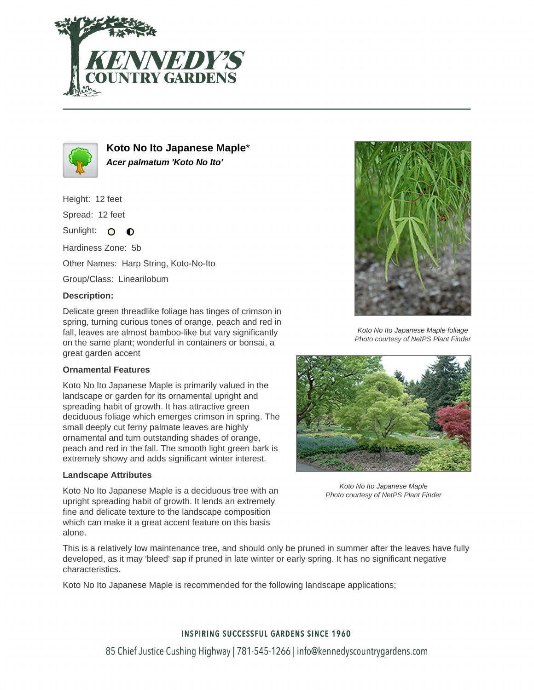



**Koto No Ito Japanese Maple**\* **Acer palmatum 'Koto No Ito'**

Height: 12 feet Spread: 12 feet Sunlight: O  $\bullet$ Hardiness Zone: 5b Other Names: Harp String, Koto-No-Ito Group/Class: Linearilobum **Description:**

Delicate green threadlike foliage has tinges of crimson in spring, turning curious tones of orange, peach and red in fall, leaves are almost bamboo-like but vary significantly on the same plant; wonderful in containers or bonsai, a great garden accent

## **Ornamental Features**

Koto No Ito Japanese Maple is primarily valued in the landscape or garden for its ornamental upright and spreading habit of growth. It has attractive green deciduous foliage which emerges crimson in spring. The small deeply cut ferny palmate leaves are highly ornamental and turn outstanding shades of orange, peach and red in the fall. The smooth light green bark is extremely showy and adds significant winter interest.

## **Landscape Attributes**

Koto No Ito Japanese Maple is a deciduous tree with an upright spreading habit of growth. It lends an extremely fine and delicate texture to the landscape composition which can make it a great accent feature on this basis alone.



Koto No Ito Japanese Maple foliage Photo courtesy of NetPS Plant Finder



Koto No Ito Japanese Maple Photo courtesy of NetPS Plant Finder

This is a relatively low maintenance tree, and should only be pruned in summer after the leaves have fully developed, as it may 'bleed' sap if pruned in late winter or early spring. It has no significant negative characteristics.

Koto No Ito Japanese Maple is recommended for the following landscape applications;

## **INSPIRING SUCCESSFUL GARDENS SINCE 1960**